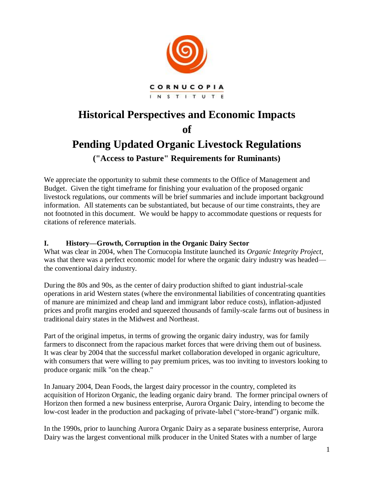

# **Historical Perspectives and Economic Impacts of Pending Updated Organic Livestock Regulations ("Access to Pasture" Requirements for Ruminants)**

We appreciate the opportunity to submit these comments to the Office of Management and Budget. Given the tight timeframe for finishing your evaluation of the proposed organic livestock regulations, our comments will be brief summaries and include important background information. All statements can be substantiated, but because of our time constraints, they are not footnoted in this document. We would be happy to accommodate questions or requests for citations of reference materials.

## **I. History—Growth, Corruption in the Organic Dairy Sector**

What was clear in 2004, when The Cornucopia Institute launched its *Organic Integrity Project*, was that there was a perfect economic model for where the organic dairy industry was headed the conventional dairy industry.

During the 80s and 90s, as the center of dairy production shifted to giant industrial-scale operations in arid Western states (where the environmental liabilities of concentrating quantities of manure are minimized and cheap land and immigrant labor reduce costs), inflation-adjusted prices and profit margins eroded and squeezed thousands of family-scale farms out of business in traditional dairy states in the Midwest and Northeast.

Part of the original impetus, in terms of growing the organic dairy industry, was for family farmers to disconnect from the rapacious market forces that were driving them out of business. It was clear by 2004 that the successful market collaboration developed in organic agriculture, with consumers that were willing to pay premium prices, was too inviting to investors looking to produce organic milk "on the cheap."

In January 2004, Dean Foods, the largest dairy processor in the country, completed its acquisition of Horizon Organic, the leading organic dairy brand. The former principal owners of Horizon then formed a new business enterprise, Aurora Organic Dairy, intending to become the low-cost leader in the production and packaging of private-label ("store-brand") organic milk.

In the 1990s, prior to launching Aurora Organic Dairy as a separate business enterprise, Aurora Dairy was the largest conventional milk producer in the United States with a number of large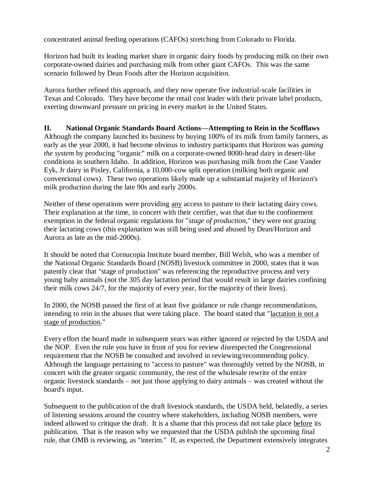concentrated animal feeding operations (CAFOs) stretching from Colorado to Florida.

Horizon had built its leading market share in organic dairy foods by producing milk on their own corporate-owned dairies and purchasing milk from other giant CAFOs. This was the same scenario followed by Dean Foods after the Horizon acquisition.

Aurora further refined this approach, and they now operate five industrial-scale facilities in Texas and Colorado. They have become the retail cost leader with their private label products, exerting downward pressure on pricing in every market in the United States.

**II. National Organic Standards Board Actions—Attempting to Rein in the Scofflaws** Although the company launched its business by buying 100% of its milk from family farmers, as early as the year 2000, it had become obvious to industry participants that Horizon was *gaming the system* by producing "organic" milk on a corporate-owned 8000-head dairy in desert-like conditions in southern Idaho. In addition, Horizon was purchasing milk from the Case Vander Eyk, Jr dairy in Pixley, California, a 10,000-cow split operation (milking both organic and conventional cows). These two operations likely made up a substantial majority of Horizon's milk production during the late 90s and early 2000s.

Neither of these operations were providing any access to pasture to their lactating dairy cows. Their explanation at the time, in concert with their certifier, was that due to the confinement exemption in the federal organic regulations for "*stage of production*," they were not grazing their lactating cows (this explanation was still being used and abused by Dean/Horizon and Aurora as late as the mid-2000s).

It should be noted that Cornucopia Institute board member, Bill Welsh, who was a member of the National Organic Standards Board (NOSB) livestock committee in 2000, states that it was patently clear that "stage of production" was referencing the reproductive process and very young baby animals (not the 305 day lactation period that would result in large dairies confining their milk cows 24/7, for the majority of every year, for the majority of their lives).

In 2000, the NOSB passed the first of at least five guidance or rule change recommendations, intending to rein in the abuses that were taking place. The board stated that "lactation is not a stage of production."

Every effort the board made in subsequent years was either ignored or rejected by the USDA and the NOP. Even the rule you have in front of you for review disrespected the Congressional requirement that the NOSB be consulted and involved in reviewing/recommending policy. Although the language pertaining to "access to pasture" was thoroughly vetted by the NOSB, in concert with the greater organic community, the rest of the wholesale rewrite of the entire organic livestock standards – not just those applying to dairy animals – was created without the board's input.

Subsequent to the publication of the draft livestock standards, the USDA held, belatedly, a series of listening sessions around the country where stakeholders, including NOSB members, were indeed allowed to critique the draft. It is a shame that this process did not take place before its publication. That is the reason why we requested that the USDA publish the upcoming final rule, that OMB is reviewing, as "interim." If, as expected, the Department extensively integrates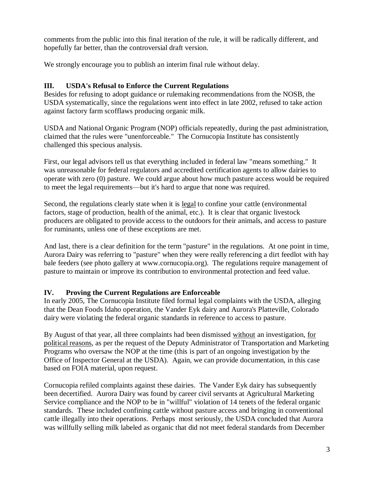comments from the public into this final iteration of the rule, it will be radically different, and hopefully far better, than the controversial draft version.

We strongly encourage you to publish an interim final rule without delay.

## **III. USDA's Refusal to Enforce the Current Regulations**

Besides for refusing to adopt guidance or rulemaking recommendations from the NOSB, the USDA systematically, since the regulations went into effect in late 2002, refused to take action against factory farm scofflaws producing organic milk.

USDA and National Organic Program (NOP) officials repeatedly, during the past administration, claimed that the rules were "unenforceable." The Cornucopia Institute has consistently challenged this specious analysis.

First, our legal advisors tell us that everything included in federal law "means something." It was unreasonable for federal regulators and accredited certification agents to allow dairies to operate with zero (0) pasture. We could argue about how much pasture access would be required to meet the legal requirements—but it's hard to argue that none was required.

Second, the regulations clearly state when it is legal to confine your cattle (environmental factors, stage of production, health of the animal, etc.). It is clear that organic livestock producers are obligated to provide access to the outdoors for their animals, and access to pasture for ruminants, unless one of these exceptions are met.

And last, there is a clear definition for the term "pasture" in the regulations. At one point in time, Aurora Dairy was referring to "pasture" when they were really referencing a dirt feedlot with hay bale feeders (see photo gallery at www.cornucopia.org). The regulations require management of pasture to maintain or improve its contribution to environmental protection and feed value.

#### **IV. Proving the Current Regulations are Enforceable**

In early 2005, The Cornucopia Institute filed formal legal complaints with the USDA, alleging that the Dean Foods Idaho operation, the Vander Eyk dairy and Aurora's Platteville, Colorado dairy were violating the federal organic standards in reference to access to pasture.

By August of that year, all three complaints had been dismissed without an investigation, for political reasons, as per the request of the Deputy Administrator of Transportation and Marketing Programs who oversaw the NOP at the time (this is part of an ongoing investigation by the Office of Inspector General at the USDA). Again, we can provide documentation, in this case based on FOIA material, upon request.

Cornucopia refiled complaints against these dairies. The Vander Eyk dairy has subsequently been decertified. Aurora Dairy was found by career civil servants at Agricultural Marketing Service compliance and the NOP to be in "willful" violation of 14 tenets of the federal organic standards. These included confining cattle without pasture access and bringing in conventional cattle illegally into their operations. Perhaps most seriously, the USDA concluded that Aurora was willfully selling milk labeled as organic that did not meet federal standards from December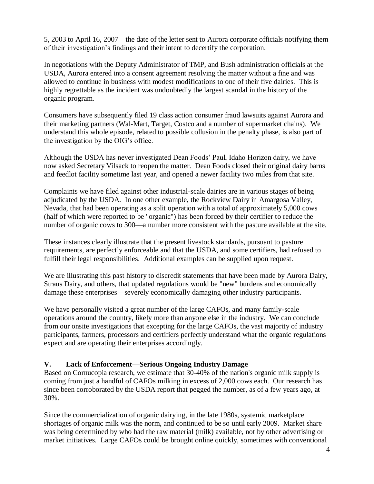5, 2003 to April 16, 2007 – the date of the letter sent to Aurora corporate officials notifying them of their investigation's findings and their intent to decertify the corporation.

In negotiations with the Deputy Administrator of TMP, and Bush administration officials at the USDA, Aurora entered into a consent agreement resolving the matter without a fine and was allowed to continue in business with modest modifications to one of their five dairies. This is highly regrettable as the incident was undoubtedly the largest scandal in the history of the organic program.

Consumers have subsequently filed 19 class action consumer fraud lawsuits against Aurora and their marketing partners (Wal-Mart, Target, Costco and a number of supermarket chains). We understand this whole episode, related to possible collusion in the penalty phase, is also part of the investigation by the OIG's office.

Although the USDA has never investigated Dean Foods' Paul, Idaho Horizon dairy, we have now asked Secretary Vilsack to reopen the matter. Dean Foods closed their original dairy barns and feedlot facility sometime last year, and opened a newer facility two miles from that site.

Complaints we have filed against other industrial-scale dairies are in various stages of being adjudicated by the USDA. In one other example, the Rockview Dairy in Amargosa Valley, Nevada, that had been operating as a split operation with a total of approximately 5,000 cows (half of which were reported to be "organic") has been forced by their certifier to reduce the number of organic cows to 300—a number more consistent with the pasture available at the site.

These instances clearly illustrate that the present livestock standards, pursuant to pasture requirements, are perfectly enforceable and that the USDA, and some certifiers, had refused to fulfill their legal responsibilities. Additional examples can be supplied upon request.

We are illustrating this past history to discredit statements that have been made by Aurora Dairy, Straus Dairy, and others, that updated regulations would be "new" burdens and economically damage these enterprises—severely economically damaging other industry participants.

We have personally visited a great number of the large CAFOs, and many family-scale operations around the country, likely more than anyone else in the industry. We can conclude from our onsite investigations that excepting for the large CAFOs, the vast majority of industry participants, farmers, processors and certifiers perfectly understand what the organic regulations expect and are operating their enterprises accordingly.

## **V. Lack of Enforcement—Serious Ongoing Industry Damage**

Based on Cornucopia research, we estimate that 30-40% of the nation's organic milk supply is coming from just a handful of CAFOs milking in excess of 2,000 cows each. Our research has since been corroborated by the USDA report that pegged the number, as of a few years ago, at 30%.

Since the commercialization of organic dairying, in the late 1980s, systemic marketplace shortages of organic milk was the norm, and continued to be so until early 2009. Market share was being determined by who had the raw material (milk) available, not by other advertising or market initiatives. Large CAFOs could be brought online quickly, sometimes with conventional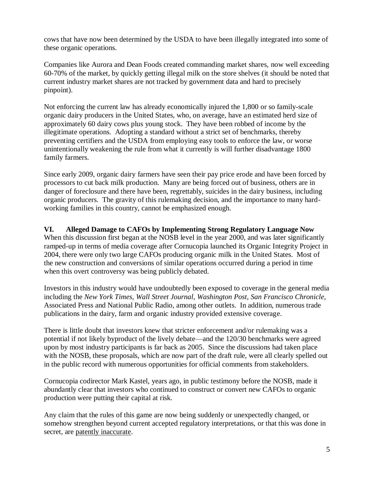cows that have now been determined by the USDA to have been illegally integrated into some of these organic operations.

Companies like Aurora and Dean Foods created commanding market shares, now well exceeding 60-70% of the market, by quickly getting illegal milk on the store shelves (it should be noted that current industry market shares are not tracked by government data and hard to precisely pinpoint).

Not enforcing the current law has already economically injured the 1,800 or so family-scale organic dairy producers in the United States, who, on average, have an estimated herd size of approximately 60 dairy cows plus young stock. They have been robbed of income by the illegitimate operations. Adopting a standard without a strict set of benchmarks, thereby preventing certifiers and the USDA from employing easy tools to enforce the law, or worse unintentionally weakening the rule from what it currently is will further disadvantage 1800 family farmers.

Since early 2009, organic dairy farmers have seen their pay price erode and have been forced by processors to cut back milk production. Many are being forced out of business, others are in danger of foreclosure and there have been, regrettably, suicides in the dairy business, including organic producers. The gravity of this rulemaking decision, and the importance to many hardworking families in this country, cannot be emphasized enough.

#### **VI. Alleged Damage to CAFOs by Implementing Strong Regulatory Language Now** When this discussion first began at the NOSB level in the year 2000, and was later significantly

ramped-up in terms of media coverage after Cornucopia launched its Organic Integrity Project in 2004, there were only two large CAFOs producing organic milk in the United States. Most of the new construction and conversions of similar operations occurred during a period in time when this overt controversy was being publicly debated.

Investors in this industry would have undoubtedly been exposed to coverage in the general media including the *New York Times*, *Wall Street Journal*, *Washington Post*, *San Francisco Chronicle*, Associated Press and National Public Radio, among other outlets. In addition, numerous trade publications in the dairy, farm and organic industry provided extensive coverage.

There is little doubt that investors knew that stricter enforcement and/or rulemaking was a potential if not likely byproduct of the lively debate—and the 120/30 benchmarks were agreed upon by most industry participants is far back as 2005. Since the discussions had taken place with the NOSB, these proposals, which are now part of the draft rule, were all clearly spelled out in the public record with numerous opportunities for official comments from stakeholders.

Cornucopia codirector Mark Kastel, years ago, in public testimony before the NOSB, made it abundantly clear that investors who continued to construct or convert new CAFOs to organic production were putting their capital at risk.

Any claim that the rules of this game are now being suddenly or unexpectedly changed, or somehow strengthen beyond current accepted regulatory interpretations, or that this was done in secret, are patently inaccurate.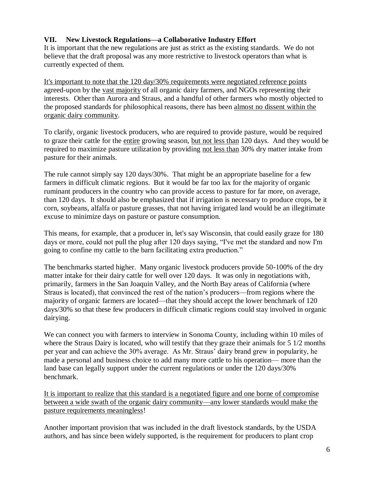### **VII. New Livestock Regulations—a Collaborative Industry Effort**

It is important that the new regulations are just as strict as the existing standards. We do not believe that the draft proposal was any more restrictive to livestock operators than what is currently expected of them.

It's important to note that the 120 day/30% requirements were negotiated reference points agreed-upon by the vast majority of all organic dairy farmers, and NGOs representing their interests. Other than Aurora and Straus, and a handful of other farmers who mostly objected to the proposed standards for philosophical reasons, there has been almost no dissent within the organic dairy community.

To clarify, organic livestock producers, who are required to provide pasture, would be required to graze their cattle for the entire growing season, but not less than 120 days. And they would be required to maximize pasture utilization by providing not less than 30% dry matter intake from pasture for their animals.

The rule cannot simply say 120 days/30%. That might be an appropriate baseline for a few farmers in difficult climatic regions. But it would be far too lax for the majority of organic ruminant producers in the country who can provide access to pasture for far more, on average, than 120 days. It should also be emphasized that if irrigation is necessary to produce crops, be it corn, soybeans, alfalfa or pasture grasses, that not having irrigated land would be an illegitimate excuse to minimize days on pasture or pasture consumption.

This means, for example, that a producer in, let's say Wisconsin, that could easily graze for 180 days or more, could not pull the plug after 120 days saying, "I've met the standard and now I'm going to confine my cattle to the barn facilitating extra production."

The benchmarks started higher. Many organic livestock producers provide 50-100% of the dry matter intake for their dairy cattle for well over 120 days. It was only in negotiations with, primarily, farmers in the San Joaquin Valley, and the North Bay areas of California (where Straus is located), that convinced the rest of the nation's producers—from regions where the majority of organic farmers are located—that they should accept the lower benchmark of 120 days/30% so that these few producers in difficult climatic regions could stay involved in organic dairying.

We can connect you with farmers to interview in Sonoma County, including within 10 miles of where the Straus Dairy is located, who will testify that they graze their animals for 5 1/2 months per year and can achieve the 30% average. As Mr. Straus' dairy brand grew in popularity, he made a personal and business choice to add many more cattle to his operation— more than the land base can legally support under the current regulations or under the 120 days/30% benchmark.

It is important to realize that this standard is a negotiated figure and one borne of compromise between a wide swath of the organic dairy community—any lower standards would make the pasture requirements meaningless!

Another important provision that was included in the draft livestock standards, by the USDA authors, and has since been widely supported, is the requirement for producers to plant crop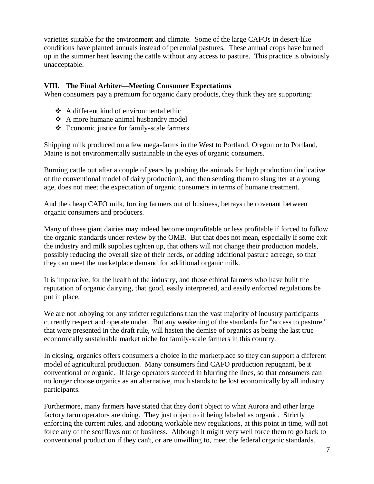varieties suitable for the environment and climate. Some of the large CAFOs in desert-like conditions have planted annuals instead of perennial pastures. These annual crops have burned up in the summer heat leaving the cattle without any access to pasture. This practice is obviously unacceptable.

#### **VIII. The Final Arbiter—Meeting Consumer Expectations**

When consumers pay a premium for organic dairy products, they think they are supporting:

- A different kind of environmental ethic
- A more humane animal husbandry model
- Economic justice for family-scale farmers

Shipping milk produced on a few mega-farms in the West to Portland, Oregon or to Portland, Maine is not environmentally sustainable in the eyes of organic consumers.

Burning cattle out after a couple of years by pushing the animals for high production (indicative of the conventional model of dairy production), and then sending them to slaughter at a young age, does not meet the expectation of organic consumers in terms of humane treatment.

And the cheap CAFO milk, forcing farmers out of business, betrays the covenant between organic consumers and producers.

Many of these giant dairies may indeed become unprofitable or less profitable if forced to follow the organic standards under review by the OMB. But that does not mean, especially if some exit the industry and milk supplies tighten up, that others will not change their production models, possibly reducing the overall size of their herds, or adding additional pasture acreage, so that they can meet the marketplace demand for additional organic milk.

It is imperative, for the health of the industry, and those ethical farmers who have built the reputation of organic dairying, that good, easily interpreted, and easily enforced regulations be put in place.

We are not lobbying for any stricter regulations than the vast majority of industry participants currently respect and operate under. But any weakening of the standards for "access to pasture," that were presented in the draft rule, will hasten the demise of organics as being the last true economically sustainable market niche for family-scale farmers in this country.

In closing, organics offers consumers a choice in the marketplace so they can support a different model of agricultural production. Many consumers find CAFO production repugnant, be it conventional or organic. If large operators succeed in blurring the lines, so that consumers can no longer choose organics as an alternative, much stands to be lost economically by all industry participants.

Furthermore, many farmers have stated that they don't object to what Aurora and other large factory farm operators are doing. They just object to it being labeled as organic. Strictly enforcing the current rules, and adopting workable new regulations, at this point in time, will not force any of the scofflaws out of business. Although it might very well force them to go back to conventional production if they can't, or are unwilling to, meet the federal organic standards.